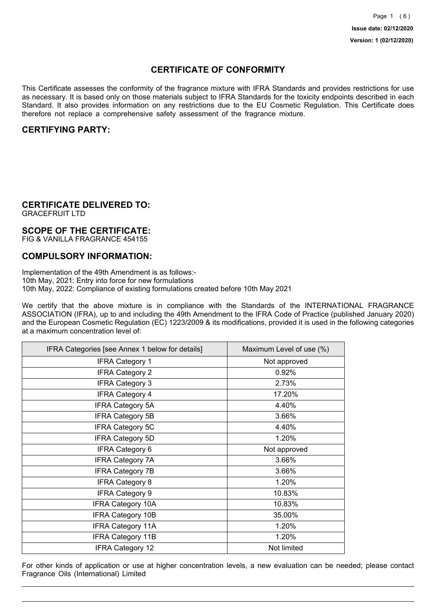## **CERTIFICATE OF CONFORMITY**

This Certificate assesses the conformity of the fragrance mixture with IFRA Standards and provides restrictions for use as necessary. It is based only on those materials subject to IFRA Standards for the toxicity endpoints described in each Standard. It also provides information on any restrictions due to the EU Cosmetic Regulation. This Certificate does therefore not replace a comprehensive safety assessment of the fragrance mixture.

## **CERTIFYING PARTY:**

## **CERTIFICATE DELIVERED TO:**

GRACEFRUIT LTD

### **SCOPE OF THE CERTIFICATE:**

FIG & VANILLA FRAGRANCE 454155

### **COMPULSORY INFORMATION:**

Implementation of the 49th Amendment is as follows:- 10th May, 2021: Entry into force for new formulations 10th May, 2022: Compliance of existing formulations created before 10th May 2021

We certify that the above mixture is in compliance with the Standards of the INTERNATIONAL FRAGRANCE ASSOCIATION (IFRA), up to and including the 49th Amendment to the IFRA Code of Practice (published January 2020) and the European Cosmetic Regulation (EC) 1223/2009 & its modifications, provided it is used in the following categories at a maximum concentration level of:

| IFRA Categories [see Annex 1 below for details] | Maximum Level of use (%) |
|-------------------------------------------------|--------------------------|
| <b>IFRA Category 1</b>                          | Not approved             |
| <b>IFRA Category 2</b>                          | 0.92%                    |
| <b>IFRA Category 3</b>                          | 2.73%                    |
| <b>IFRA Category 4</b>                          | 17.20%                   |
| <b>IFRA Category 5A</b>                         | 4.40%                    |
| <b>IFRA Category 5B</b>                         | 3.66%                    |
| <b>IFRA Category 5C</b>                         | 4.40%                    |
| <b>IFRA Category 5D</b>                         | 1.20%                    |
| <b>IFRA Category 6</b>                          | Not approved             |
| <b>IFRA Category 7A</b>                         | 3.66%                    |
| <b>IFRA Category 7B</b>                         | 3.66%                    |
| <b>IFRA Category 8</b>                          | 1.20%                    |
| <b>IFRA Category 9</b>                          | 10.83%                   |
| <b>IFRA Category 10A</b>                        | 10.83%                   |
| <b>IFRA Category 10B</b>                        | 35.00%                   |
| <b>IFRA Category 11A</b>                        | 1.20%                    |
| <b>IFRA Category 11B</b>                        | 1.20%                    |
| <b>IFRA Category 12</b>                         | Not limited              |

For other kinds of application or use at higher concentration levels, a new evaluation can be needed; please contact Fragrance Oils (International) Limited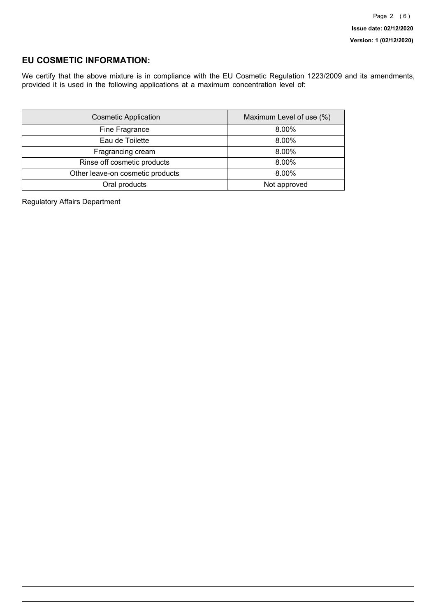## **EU COSMETIC INFORMATION:**

We certify that the above mixture is in compliance with the EU Cosmetic Regulation 1223/2009 and its amendments, provided it is used in the following applications at a maximum concentration level of:

| <b>Cosmetic Application</b>      | Maximum Level of use (%) |
|----------------------------------|--------------------------|
| Fine Fragrance                   | 8.00%                    |
| Eau de Toilette                  | 8.00%                    |
| Fragrancing cream                | 8.00%                    |
| Rinse off cosmetic products      | 8.00%                    |
| Other leave-on cosmetic products | 8.00%                    |
| Oral products                    | Not approved             |

Regulatory Affairs Department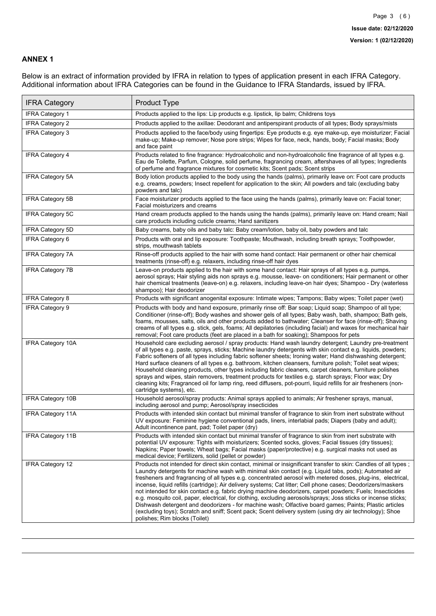### **ANNEX 1**

Below is an extract of information provided by IFRA in relation to types of application present in each IFRA Category. Additional information about IFRA Categories can be found in the Guidance to IFRA Standards, issued by IFRA.

| <b>IFRA Category</b>     | Product Type                                                                                                                                                                                                                                                                                                                                                                                                                                                                                                                                                                                                                                                                                                                                                                                                                                                                                                                                 |
|--------------------------|----------------------------------------------------------------------------------------------------------------------------------------------------------------------------------------------------------------------------------------------------------------------------------------------------------------------------------------------------------------------------------------------------------------------------------------------------------------------------------------------------------------------------------------------------------------------------------------------------------------------------------------------------------------------------------------------------------------------------------------------------------------------------------------------------------------------------------------------------------------------------------------------------------------------------------------------|
| IFRA Category 1          | Products applied to the lips: Lip products e.g. lipstick, lip balm; Childrens toys                                                                                                                                                                                                                                                                                                                                                                                                                                                                                                                                                                                                                                                                                                                                                                                                                                                           |
| <b>IFRA Category 2</b>   | Products applied to the axillae: Deodorant and antiperspirant products of all types; Body sprays/mists                                                                                                                                                                                                                                                                                                                                                                                                                                                                                                                                                                                                                                                                                                                                                                                                                                       |
| <b>IFRA Category 3</b>   | Products applied to the face/body using fingertips: Eye products e.g. eye make-up, eye moisturizer; Facial<br>make-up; Make-up remover; Nose pore strips; Wipes for face, neck, hands, body; Facial masks; Body<br>and face paint                                                                                                                                                                                                                                                                                                                                                                                                                                                                                                                                                                                                                                                                                                            |
| <b>IFRA Category 4</b>   | Products related to fine fragrance: Hydroalcoholic and non-hydroalcoholic fine fragrance of all types e.g.<br>Eau de Toilette, Parfum, Cologne, solid perfume, fragrancing cream, aftershaves of all types; Ingredients<br>of perfume and fragrance mixtures for cosmetic kits; Scent pads; Scent strips                                                                                                                                                                                                                                                                                                                                                                                                                                                                                                                                                                                                                                     |
| <b>IFRA Category 5A</b>  | Body lotion products applied to the body using the hands (palms), primarily leave on: Foot care products<br>e.g. creams, powders; Insect repellent for application to the skin; All powders and talc (excluding baby<br>powders and talc)                                                                                                                                                                                                                                                                                                                                                                                                                                                                                                                                                                                                                                                                                                    |
| IFRA Category 5B         | Face moisturizer products applied to the face using the hands (palms), primarily leave on: Facial toner;<br>Facial moisturizers and creams                                                                                                                                                                                                                                                                                                                                                                                                                                                                                                                                                                                                                                                                                                                                                                                                   |
| <b>IFRA Category 5C</b>  | Hand cream products applied to the hands using the hands (palms), primarily leave on: Hand cream; Nail<br>care products including cuticle creams; Hand sanitizers                                                                                                                                                                                                                                                                                                                                                                                                                                                                                                                                                                                                                                                                                                                                                                            |
| <b>IFRA Category 5D</b>  | Baby creams, baby oils and baby talc: Baby cream/lotion, baby oil, baby powders and talc                                                                                                                                                                                                                                                                                                                                                                                                                                                                                                                                                                                                                                                                                                                                                                                                                                                     |
| IFRA Category 6          | Products with oral and lip exposure: Toothpaste; Mouthwash, including breath sprays; Toothpowder,<br>strips, mouthwash tablets                                                                                                                                                                                                                                                                                                                                                                                                                                                                                                                                                                                                                                                                                                                                                                                                               |
| <b>IFRA Category 7A</b>  | Rinse-off products applied to the hair with some hand contact: Hair permanent or other hair chemical<br>treatments (rinse-off) e.g. relaxers, including rinse-off hair dyes                                                                                                                                                                                                                                                                                                                                                                                                                                                                                                                                                                                                                                                                                                                                                                  |
| <b>IFRA Category 7B</b>  | Leave-on products applied to the hair with some hand contact: Hair sprays of all types e.g. pumps,<br>aerosol sprays; Hair styling aids non sprays e.g. mousse, leave- on conditioners; Hair permanent or other<br>hair chemical treatments (leave-on) e.g. relaxers, including leave-on hair dyes; Shampoo - Dry (waterless<br>shampoo); Hair deodorizer                                                                                                                                                                                                                                                                                                                                                                                                                                                                                                                                                                                    |
| <b>IFRA Category 8</b>   | Products with significant anogenital exposure: Intimate wipes; Tampons; Baby wipes; Toilet paper (wet)                                                                                                                                                                                                                                                                                                                                                                                                                                                                                                                                                                                                                                                                                                                                                                                                                                       |
| IFRA Category 9          | Products with body and hand exposure, primarily rinse off: Bar soap; Liquid soap; Shampoo of all type;<br>Conditioner (rinse-off); Body washes and shower gels of all types; Baby wash, bath, shampoo; Bath gels,<br>foams, mousses, salts, oils and other products added to bathwater; Cleanser for face (rinse-off); Shaving<br>creams of all types e.g. stick, gels, foams; All depilatories (including facial) and waxes for mechanical hair<br>removal; Foot care products (feet are placed in a bath for soaking); Shampoos for pets                                                                                                                                                                                                                                                                                                                                                                                                   |
| <b>IFRA Category 10A</b> | Household care excluding aerosol / spray products: Hand wash laundry detergent; Laundry pre-treatment<br>of all types e.g. paste, sprays, sticks; Machine laundry detergents with skin contact e.g. liquids, powders;<br>Fabric softeners of all types including fabric softener sheets; Ironing water; Hand dishwashing detergent;<br>Hard surface cleaners of all types e.g. bathroom, kitchen cleansers, furniture polish; Toilet seat wipes;<br>Household cleaning products, other types including fabric cleaners, carpet cleaners, furniture polishes<br>sprays and wipes, stain removers, treatment products for textiles e.g. starch sprays; Floor wax; Dry<br>cleaning kits; Fragranced oil for lamp ring, reed diffusers, pot-pourri, liquid refills for air fresheners (non-<br>cartridge systems), etc.                                                                                                                          |
| <b>IFRA Category 10B</b> | Household aerosol/spray products: Animal sprays applied to animals; Air freshener sprays, manual,<br>including aerosol and pump; Aerosol/spray insecticides                                                                                                                                                                                                                                                                                                                                                                                                                                                                                                                                                                                                                                                                                                                                                                                  |
| <b>IFRA Category 11A</b> | Products with intended skin contact but minimal transfer of fragrance to skin from inert substrate without<br>UV exposure: Feminine hygiene conventional pads, liners, interlabial pads; Diapers (baby and adult);<br>Adult incontinence pant, pad; Toilet paper (dry)                                                                                                                                                                                                                                                                                                                                                                                                                                                                                                                                                                                                                                                                       |
| <b>IFRA Category 11B</b> | Products with intended skin contact but minimal transfer of fragrance to skin from inert substrate with<br>potential UV exposure: Tights with moisturizers; Scented socks, gloves; Facial tissues (dry tissues);<br>Napkins; Paper towels; Wheat bags; Facial masks (paper/protective) e.g. surgical masks not used as<br>medical device; Fertilizers, solid (pellet or powder)                                                                                                                                                                                                                                                                                                                                                                                                                                                                                                                                                              |
| <b>IFRA Category 12</b>  | Products not intended for direct skin contact, minimal or insignificant transfer to skin: Candles of all types;<br>Laundry detergents for machine wash with minimal skin contact (e.g. Liquid tabs, pods); Automated air<br>fresheners and fragrancing of all types e.g. concentrated aerosol with metered doses, plug-ins, electrical,<br>incense, liquid refills (cartridge); Air delivery systems; Cat litter; Cell phone cases; Deodorizers/maskers<br>not intended for skin contact e.g. fabric drying machine deodorizers, carpet powders; Fuels; Insecticides<br>e.g. mosquito coil, paper, electrical, for clothing, excluding aerosols/sprays; Joss sticks or incense sticks;<br>Dishwash detergent and deodorizers - for machine wash; Olfactive board games; Paints; Plastic articles<br>(excluding toys); Scratch and sniff; Scent pack; Scent delivery system (using dry air technology); Shoe<br>polishes; Rim blocks (Toilet) |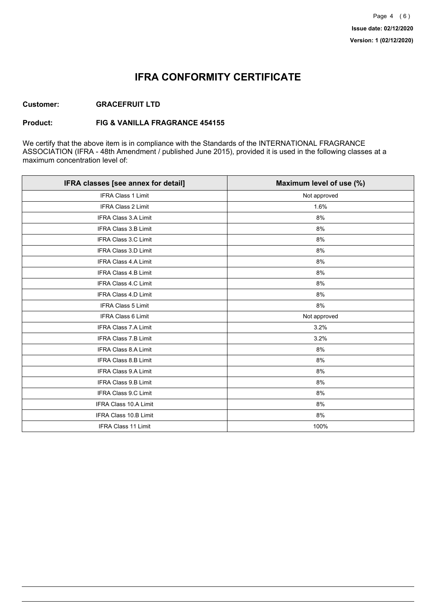## **IFRA CONFORMITY CERTIFICATE**

#### **Customer: GRACEFRUIT LTD**

#### **Product: FIG & VANILLA FRAGRANCE 454155**

We certify that the above item is in compliance with the Standards of the INTERNATIONAL FRAGRANCE ASSOCIATION (IFRA - 48th Amendment / published June 2015), provided it is used in the following classes at a maximum concentration level of:

| IFRA classes [see annex for detail] | Maximum level of use (%) |
|-------------------------------------|--------------------------|
| <b>IFRA Class 1 Limit</b>           | Not approved             |
| IFRA Class 2 Limit                  | 1.6%                     |
| <b>IFRA Class 3.A Limit</b>         | 8%                       |
| <b>IFRA Class 3.B Limit</b>         | 8%                       |
| IFRA Class 3.C Limit                | 8%                       |
| IFRA Class 3.D Limit                | 8%                       |
| IFRA Class 4.A Limit                | 8%                       |
| <b>IFRA Class 4.B Limit</b>         | 8%                       |
| <b>IFRA Class 4.C Limit</b>         | 8%                       |
| <b>IFRA Class 4.D Limit</b>         | 8%                       |
| IFRA Class 5 Limit                  | 8%                       |
| <b>IFRA Class 6 Limit</b>           | Not approved             |
| <b>IFRA Class 7.A Limit</b>         | 3.2%                     |
| IFRA Class 7.B Limit                | 3.2%                     |
| IFRA Class 8.A Limit                | 8%                       |
| IFRA Class 8.B Limit                | 8%                       |
| <b>IFRA Class 9.A Limit</b>         | 8%                       |
| <b>IFRA Class 9.B Limit</b>         | 8%                       |
| IFRA Class 9.C Limit                | 8%                       |
| IFRA Class 10.A Limit               | 8%                       |
| <b>IFRA Class 10.B Limit</b>        | 8%                       |
| IFRA Class 11 Limit                 | 100%                     |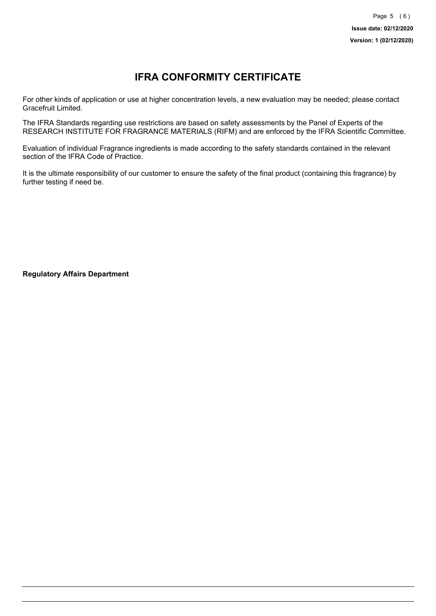# **IFRA CONFORMITY CERTIFICATE**

For other kinds of application or use at higher concentration levels, a new evaluation may be needed; please contact Gracefruit Limited.

The IFRA Standards regarding use restrictions are based on safety assessments by the Panel of Experts of the RESEARCH INSTITUTE FOR FRAGRANCE MATERIALS (RIFM) and are enforced by the IFRA Scientific Committee.

Evaluation of individual Fragrance ingredients is made according to the safety standards contained in the relevant section of the IFRA Code of Practice.

It is the ultimate responsibility of our customer to ensure the safety of the final product (containing this fragrance) by further testing if need be.

**Regulatory Affairs Department**